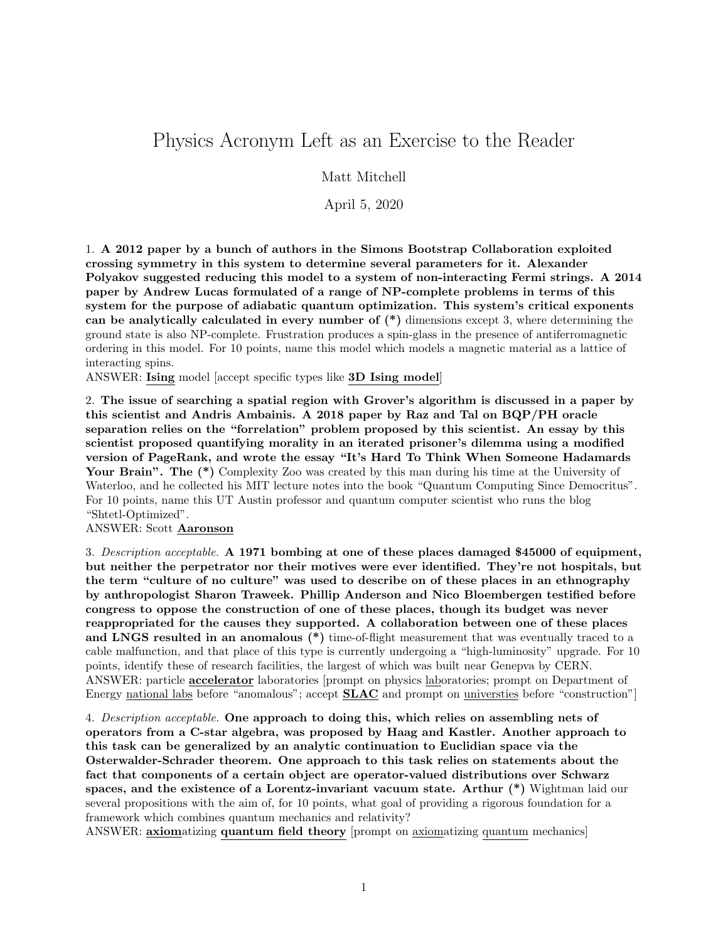## Physics Acronym Left as an Exercise to the Reader

Matt Mitchell

April 5, 2020

1. A 2012 paper by a bunch of authors in the Simons Bootstrap Collaboration exploited crossing symmetry in this system to determine several parameters for it. Alexander Polyakov suggested reducing this model to a system of non-interacting Fermi strings. A 2014 paper by Andrew Lucas formulated of a range of NP-complete problems in terms of this system for the purpose of adiabatic quantum optimization. This system's critical exponents can be analytically calculated in every number of (\*) dimensions except 3, where determining the ground state is also NP-complete. Frustration produces a spin-glass in the presence of antiferromagnetic ordering in this model. For 10 points, name this model which models a magnetic material as a lattice of interacting spins.

ANSWER: Ising model [accept specific types like 3D Ising model]

2. The issue of searching a spatial region with Grover's algorithm is discussed in a paper by this scientist and Andris Ambainis. A 2018 paper by Raz and Tal on BQP/PH oracle separation relies on the "forrelation" problem proposed by this scientist. An essay by this scientist proposed quantifying morality in an iterated prisoner's dilemma using a modified version of PageRank, and wrote the essay "It's Hard To Think When Someone Hadamards Your Brain". The  $(*)$  Complexity Zoo was created by this man during his time at the University of Waterloo, and he collected his MIT lecture notes into the book "Quantum Computing Since Democritus". For 10 points, name this UT Austin professor and quantum computer scientist who runs the blog "Shtetl-Optimized".

ANSWER: Scott Aaronson

3. Description acceptable. A 1971 bombing at one of these places damaged \$45000 of equipment, but neither the perpetrator nor their motives were ever identified. They're not hospitals, but the term "culture of no culture" was used to describe on of these places in an ethnography by anthropologist Sharon Traweek. Phillip Anderson and Nico Bloembergen testified before congress to oppose the construction of one of these places, though its budget was never reappropriated for the causes they supported. A collaboration between one of these places and LNGS resulted in an anomalous  $(*)$  time-of-flight measurement that was eventually traced to a cable malfunction, and that place of this type is currently undergoing a "high-luminosity" upgrade. For 10 points, identify these of research facilities, the largest of which was built near Genepva by CERN. ANSWER: particle **accelerator** laboratories [prompt on physics laboratories; prompt on Department of Energy national labs before "anomalous"; accept **SLAC** and prompt on universties before "construction"

4. Description acceptable. One approach to doing this, which relies on assembling nets of operators from a C-star algebra, was proposed by Haag and Kastler. Another approach to this task can be generalized by an analytic continuation to Euclidian space via the Osterwalder-Schrader theorem. One approach to this task relies on statements about the fact that components of a certain object are operator-valued distributions over Schwarz spaces, and the existence of a Lorentz-invariant vacuum state. Arthur (\*) Wightman laid our several propositions with the aim of, for 10 points, what goal of providing a rigorous foundation for a framework which combines quantum mechanics and relativity?

ANSWER: **axiomatizing quantum field theory** [prompt on **axiomatizing quantum mechanics**]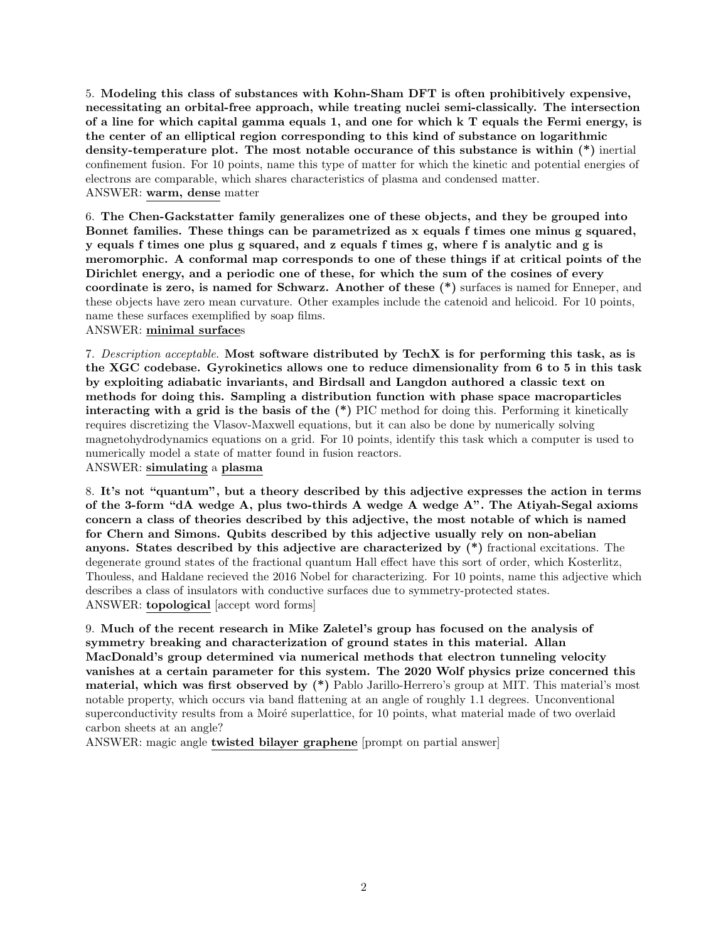5. Modeling this class of substances with Kohn-Sham DFT is often prohibitively expensive, necessitating an orbital-free approach, while treating nuclei semi-classically. The intersection of a line for which capital gamma equals 1, and one for which k T equals the Fermi energy, is the center of an elliptical region corresponding to this kind of substance on logarithmic density-temperature plot. The most notable occurance of this substance is within (\*) inertial confinement fusion. For 10 points, name this type of matter for which the kinetic and potential energies of electrons are comparable, which shares characteristics of plasma and condensed matter. ANSWER: warm, dense matter

6. The Chen-Gackstatter family generalizes one of these objects, and they be grouped into Bonnet families. These things can be parametrized as x equals f times one minus g squared, y equals f times one plus g squared, and z equals f times g, where f is analytic and g is meromorphic. A conformal map corresponds to one of these things if at critical points of the Dirichlet energy, and a periodic one of these, for which the sum of the cosines of every coordinate is zero, is named for Schwarz. Another of these (\*) surfaces is named for Enneper, and these objects have zero mean curvature. Other examples include the catenoid and helicoid. For 10 points, name these surfaces exemplified by soap films.

ANSWER: minimal surfaces

7. Description acceptable. Most software distributed by TechX is for performing this task, as is the XGC codebase. Gyrokinetics allows one to reduce dimensionality from 6 to 5 in this task by exploiting adiabatic invariants, and Birdsall and Langdon authored a classic text on methods for doing this. Sampling a distribution function with phase space macroparticles interacting with a grid is the basis of the (\*) PIC method for doing this. Performing it kinetically requires discretizing the Vlasov-Maxwell equations, but it can also be done by numerically solving magnetohydrodynamics equations on a grid. For 10 points, identify this task which a computer is used to numerically model a state of matter found in fusion reactors.

ANSWER: simulating a plasma

8. It's not "quantum", but a theory described by this adjective expresses the action in terms of the 3-form "dA wedge A, plus two-thirds A wedge A wedge A". The Atiyah-Segal axioms concern a class of theories described by this adjective, the most notable of which is named for Chern and Simons. Qubits described by this adjective usually rely on non-abelian anyons. States described by this adjective are characterized by (\*) fractional excitations. The degenerate ground states of the fractional quantum Hall effect have this sort of order, which Kosterlitz, Thouless, and Haldane recieved the 2016 Nobel for characterizing. For 10 points, name this adjective which describes a class of insulators with conductive surfaces due to symmetry-protected states. ANSWER: topological [accept word forms]

9. Much of the recent research in Mike Zaletel's group has focused on the analysis of symmetry breaking and characterization of ground states in this material. Allan MacDonald's group determined via numerical methods that electron tunneling velocity vanishes at a certain parameter for this system. The 2020 Wolf physics prize concerned this material, which was first observed by (\*) Pablo Jarillo-Herrero's group at MIT. This material's most notable property, which occurs via band flattening at an angle of roughly 1.1 degrees. Unconventional superconductivity results from a Moiré superlattice, for 10 points, what material made of two overlaid carbon sheets at an angle?

ANSWER: magic angle twisted bilayer graphene [prompt on partial answer]